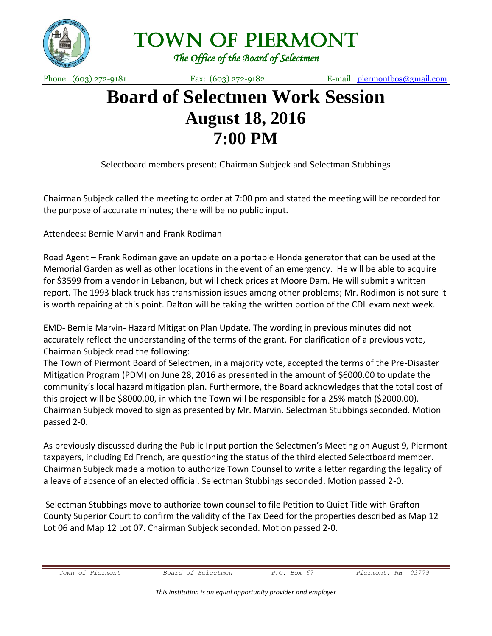

Town of Piermont

*The Office of the Board of Selectmen* 

Phone: (603) 272-9181 Fax: (603) 272-9182 E-mail: [piermontbos@gmail.com](mailto:piermontbos@gmail.com)

## **Board of Selectmen Work Session August 18, 2016 7:00 PM**

Selectboard members present: Chairman Subjeck and Selectman Stubbings

Chairman Subjeck called the meeting to order at 7:00 pm and stated the meeting will be recorded for the purpose of accurate minutes; there will be no public input.

Attendees: Bernie Marvin and Frank Rodiman

Road Agent – Frank Rodiman gave an update on a portable Honda generator that can be used at the Memorial Garden as well as other locations in the event of an emergency. He will be able to acquire for \$3599 from a vendor in Lebanon, but will check prices at Moore Dam. He will submit a written report. The 1993 black truck has transmission issues among other problems; Mr. Rodimon is not sure it is worth repairing at this point. Dalton will be taking the written portion of the CDL exam next week.

EMD- Bernie Marvin- Hazard Mitigation Plan Update. The wording in previous minutes did not accurately reflect the understanding of the terms of the grant. For clarification of a previous vote, Chairman Subjeck read the following:

The Town of Piermont Board of Selectmen, in a majority vote, accepted the terms of the Pre-Disaster Mitigation Program (PDM) on June 28, 2016 as presented in the amount of \$6000.00 to update the community's local hazard mitigation plan. Furthermore, the Board acknowledges that the total cost of this project will be \$8000.00, in which the Town will be responsible for a 25% match (\$2000.00). Chairman Subjeck moved to sign as presented by Mr. Marvin. Selectman Stubbings seconded. Motion passed 2-0.

As previously discussed during the Public Input portion the Selectmen's Meeting on August 9, Piermont taxpayers, including Ed French, are questioning the status of the third elected Selectboard member. Chairman Subjeck made a motion to authorize Town Counsel to write a letter regarding the legality of a leave of absence of an elected official. Selectman Stubbings seconded. Motion passed 2-0.

Selectman Stubbings move to authorize town counsel to file Petition to Quiet Title with Grafton County Superior Court to confirm the validity of the Tax Deed for the properties described as Map 12 Lot 06 and Map 12 Lot 07. Chairman Subjeck seconded. Motion passed 2-0.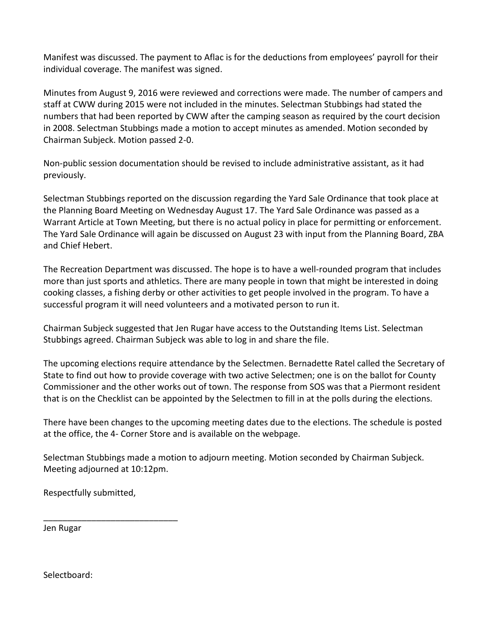Manifest was discussed. The payment to Aflac is for the deductions from employees' payroll for their individual coverage. The manifest was signed.

Minutes from August 9, 2016 were reviewed and corrections were made. The number of campers and staff at CWW during 2015 were not included in the minutes. Selectman Stubbings had stated the numbers that had been reported by CWW after the camping season as required by the court decision in 2008. Selectman Stubbings made a motion to accept minutes as amended. Motion seconded by Chairman Subjeck. Motion passed 2-0.

Non-public session documentation should be revised to include administrative assistant, as it had previously.

Selectman Stubbings reported on the discussion regarding the Yard Sale Ordinance that took place at the Planning Board Meeting on Wednesday August 17. The Yard Sale Ordinance was passed as a Warrant Article at Town Meeting, but there is no actual policy in place for permitting or enforcement. The Yard Sale Ordinance will again be discussed on August 23 with input from the Planning Board, ZBA and Chief Hebert.

The Recreation Department was discussed. The hope is to have a well-rounded program that includes more than just sports and athletics. There are many people in town that might be interested in doing cooking classes, a fishing derby or other activities to get people involved in the program. To have a successful program it will need volunteers and a motivated person to run it.

Chairman Subjeck suggested that Jen Rugar have access to the Outstanding Items List. Selectman Stubbings agreed. Chairman Subjeck was able to log in and share the file.

The upcoming elections require attendance by the Selectmen. Bernadette Ratel called the Secretary of State to find out how to provide coverage with two active Selectmen; one is on the ballot for County Commissioner and the other works out of town. The response from SOS was that a Piermont resident that is on the Checklist can be appointed by the Selectmen to fill in at the polls during the elections.

There have been changes to the upcoming meeting dates due to the elections. The schedule is posted at the office, the 4- Corner Store and is available on the webpage.

Selectman Stubbings made a motion to adjourn meeting. Motion seconded by Chairman Subjeck. Meeting adjourned at 10:12pm.

Respectfully submitted,

\_\_\_\_\_\_\_\_\_\_\_\_\_\_\_\_\_\_\_\_\_\_\_\_\_\_\_\_

Jen Rugar

Selectboard: